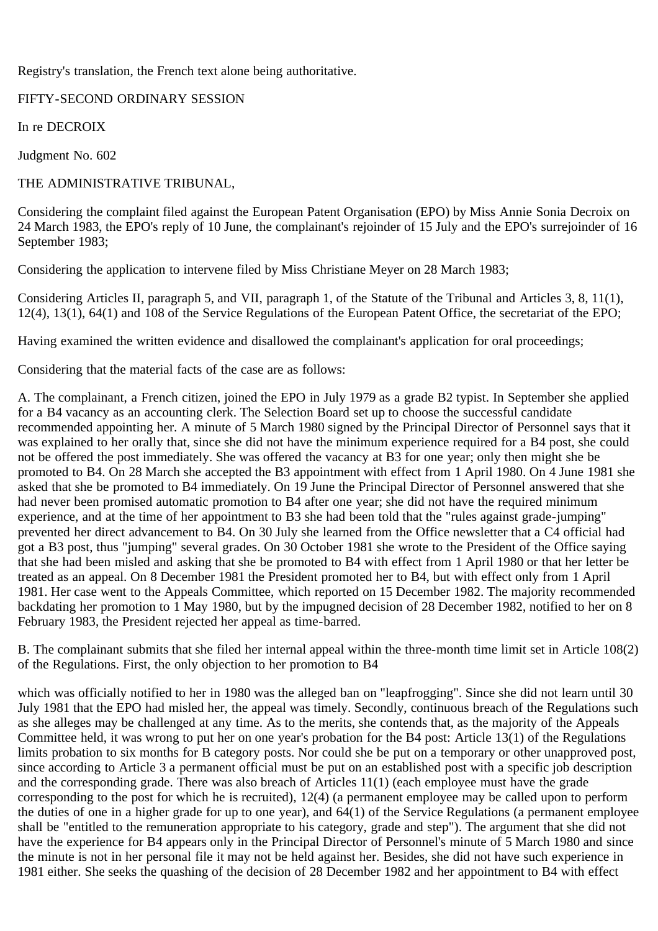Registry's translation, the French text alone being authoritative.

## FIFTY-SECOND ORDINARY SESSION

In re DECROIX

Judgment No. 602

## THE ADMINISTRATIVE TRIBUNAL,

Considering the complaint filed against the European Patent Organisation (EPO) by Miss Annie Sonia Decroix on 24 March 1983, the EPO's reply of 10 June, the complainant's rejoinder of 15 July and the EPO's surrejoinder of 16 September 1983;

Considering the application to intervene filed by Miss Christiane Meyer on 28 March 1983;

Considering Articles II, paragraph 5, and VII, paragraph 1, of the Statute of the Tribunal and Articles 3, 8, 11(1), 12(4), 13(1), 64(1) and 108 of the Service Regulations of the European Patent Office, the secretariat of the EPO;

Having examined the written evidence and disallowed the complainant's application for oral proceedings;

Considering that the material facts of the case are as follows:

A. The complainant, a French citizen, joined the EPO in July 1979 as a grade B2 typist. In September she applied for a B4 vacancy as an accounting clerk. The Selection Board set up to choose the successful candidate recommended appointing her. A minute of 5 March 1980 signed by the Principal Director of Personnel says that it was explained to her orally that, since she did not have the minimum experience required for a B4 post, she could not be offered the post immediately. She was offered the vacancy at B3 for one year; only then might she be promoted to B4. On 28 March she accepted the B3 appointment with effect from 1 April 1980. On 4 June 1981 she asked that she be promoted to B4 immediately. On 19 June the Principal Director of Personnel answered that she had never been promised automatic promotion to B4 after one year; she did not have the required minimum experience, and at the time of her appointment to B3 she had been told that the "rules against grade-jumping" prevented her direct advancement to B4. On 30 July she learned from the Office newsletter that a C4 official had got a B3 post, thus "jumping" several grades. On 30 October 1981 she wrote to the President of the Office saying that she had been misled and asking that she be promoted to B4 with effect from 1 April 1980 or that her letter be treated as an appeal. On 8 December 1981 the President promoted her to B4, but with effect only from 1 April 1981. Her case went to the Appeals Committee, which reported on 15 December 1982. The majority recommended backdating her promotion to 1 May 1980, but by the impugned decision of 28 December 1982, notified to her on 8 February 1983, the President rejected her appeal as time-barred.

B. The complainant submits that she filed her internal appeal within the three-month time limit set in Article 108(2) of the Regulations. First, the only objection to her promotion to B4

which was officially notified to her in 1980 was the alleged ban on "leapfrogging". Since she did not learn until 30 July 1981 that the EPO had misled her, the appeal was timely. Secondly, continuous breach of the Regulations such as she alleges may be challenged at any time. As to the merits, she contends that, as the majority of the Appeals Committee held, it was wrong to put her on one year's probation for the B4 post: Article 13(1) of the Regulations limits probation to six months for B category posts. Nor could she be put on a temporary or other unapproved post, since according to Article 3 a permanent official must be put on an established post with a specific job description and the corresponding grade. There was also breach of Articles 11(1) (each employee must have the grade corresponding to the post for which he is recruited), 12(4) (a permanent employee may be called upon to perform the duties of one in a higher grade for up to one year), and 64(1) of the Service Regulations (a permanent employee shall be "entitled to the remuneration appropriate to his category, grade and step"). The argument that she did not have the experience for B4 appears only in the Principal Director of Personnel's minute of 5 March 1980 and since the minute is not in her personal file it may not be held against her. Besides, she did not have such experience in 1981 either. She seeks the quashing of the decision of 28 December 1982 and her appointment to B4 with effect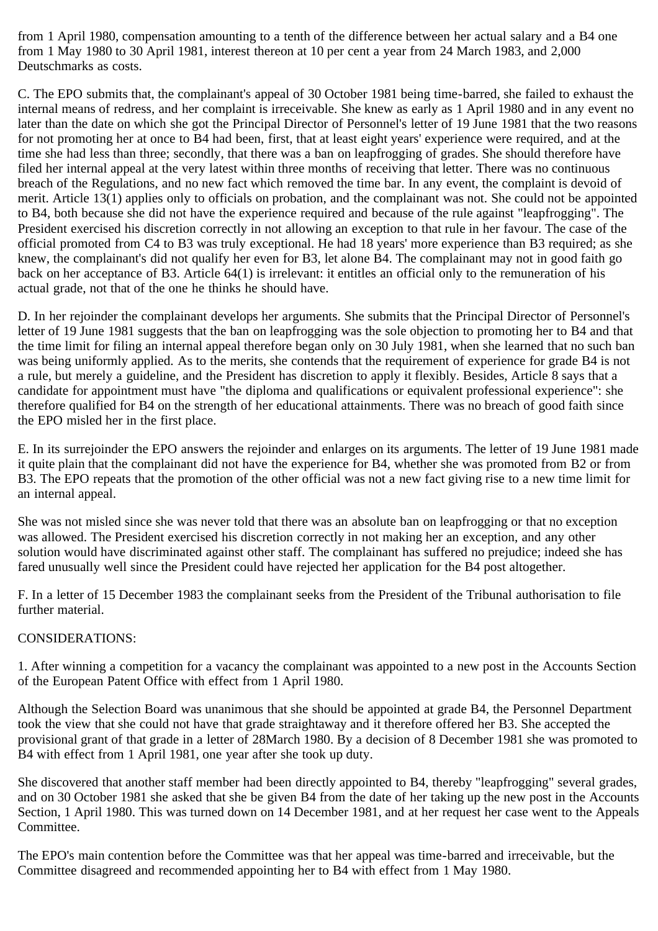from 1 April 1980, compensation amounting to a tenth of the difference between her actual salary and a B4 one from 1 May 1980 to 30 April 1981, interest thereon at 10 per cent a year from 24 March 1983, and 2,000 Deutschmarks as costs.

C. The EPO submits that, the complainant's appeal of 30 October 1981 being time-barred, she failed to exhaust the internal means of redress, and her complaint is irreceivable. She knew as early as 1 April 1980 and in any event no later than the date on which she got the Principal Director of Personnel's letter of 19 June 1981 that the two reasons for not promoting her at once to B4 had been, first, that at least eight years' experience were required, and at the time she had less than three; secondly, that there was a ban on leapfrogging of grades. She should therefore have filed her internal appeal at the very latest within three months of receiving that letter. There was no continuous breach of the Regulations, and no new fact which removed the time bar. In any event, the complaint is devoid of merit. Article 13(1) applies only to officials on probation, and the complainant was not. She could not be appointed to B4, both because she did not have the experience required and because of the rule against "leapfrogging". The President exercised his discretion correctly in not allowing an exception to that rule in her favour. The case of the official promoted from C4 to B3 was truly exceptional. He had 18 years' more experience than B3 required; as she knew, the complainant's did not qualify her even for B3, let alone B4. The complainant may not in good faith go back on her acceptance of B3. Article 64(1) is irrelevant: it entitles an official only to the remuneration of his actual grade, not that of the one he thinks he should have.

D. In her rejoinder the complainant develops her arguments. She submits that the Principal Director of Personnel's letter of 19 June 1981 suggests that the ban on leapfrogging was the sole objection to promoting her to B4 and that the time limit for filing an internal appeal therefore began only on 30 July 1981, when she learned that no such ban was being uniformly applied. As to the merits, she contends that the requirement of experience for grade B4 is not a rule, but merely a guideline, and the President has discretion to apply it flexibly. Besides, Article 8 says that a candidate for appointment must have "the diploma and qualifications or equivalent professional experience": she therefore qualified for B4 on the strength of her educational attainments. There was no breach of good faith since the EPO misled her in the first place.

E. In its surrejoinder the EPO answers the rejoinder and enlarges on its arguments. The letter of 19 June 1981 made it quite plain that the complainant did not have the experience for B4, whether she was promoted from B2 or from B3. The EPO repeats that the promotion of the other official was not a new fact giving rise to a new time limit for an internal appeal.

She was not misled since she was never told that there was an absolute ban on leapfrogging or that no exception was allowed. The President exercised his discretion correctly in not making her an exception, and any other solution would have discriminated against other staff. The complainant has suffered no prejudice; indeed she has fared unusually well since the President could have rejected her application for the B4 post altogether.

F. In a letter of 15 December 1983 the complainant seeks from the President of the Tribunal authorisation to file further material.

## CONSIDERATIONS:

1. After winning a competition for a vacancy the complainant was appointed to a new post in the Accounts Section of the European Patent Office with effect from 1 April 1980.

Although the Selection Board was unanimous that she should be appointed at grade B4, the Personnel Department took the view that she could not have that grade straightaway and it therefore offered her B3. She accepted the provisional grant of that grade in a letter of 28March 1980. By a decision of 8 December 1981 she was promoted to B4 with effect from 1 April 1981, one year after she took up duty.

She discovered that another staff member had been directly appointed to B4, thereby "leapfrogging" several grades, and on 30 October 1981 she asked that she be given B4 from the date of her taking up the new post in the Accounts Section, 1 April 1980. This was turned down on 14 December 1981, and at her request her case went to the Appeals Committee.

The EPO's main contention before the Committee was that her appeal was time-barred and irreceivable, but the Committee disagreed and recommended appointing her to B4 with effect from 1 May 1980.